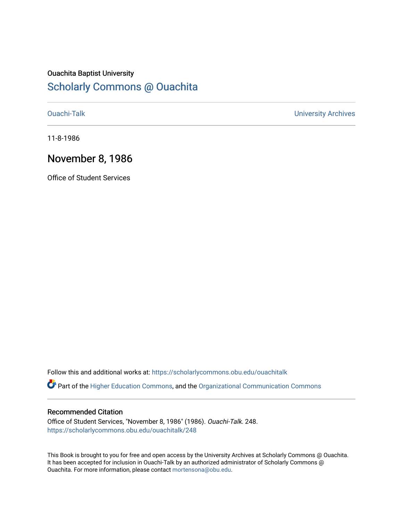## Ouachita Baptist University

## [Scholarly Commons @ Ouachita](https://scholarlycommons.obu.edu/)

[Ouachi-Talk](https://scholarlycommons.obu.edu/ouachitalk) [University Archives](https://scholarlycommons.obu.edu/universityarchives) 

11-8-1986

### November 8, 1986

Office of Student Services

Follow this and additional works at: [https://scholarlycommons.obu.edu/ouachitalk](https://scholarlycommons.obu.edu/ouachitalk?utm_source=scholarlycommons.obu.edu%2Fouachitalk%2F248&utm_medium=PDF&utm_campaign=PDFCoverPages) 

Part of the [Higher Education Commons,](http://network.bepress.com/hgg/discipline/1245?utm_source=scholarlycommons.obu.edu%2Fouachitalk%2F248&utm_medium=PDF&utm_campaign=PDFCoverPages) and the [Organizational Communication Commons](http://network.bepress.com/hgg/discipline/335?utm_source=scholarlycommons.obu.edu%2Fouachitalk%2F248&utm_medium=PDF&utm_campaign=PDFCoverPages)

### Recommended Citation

Office of Student Services, "November 8, 1986" (1986). Ouachi-Talk. 248. [https://scholarlycommons.obu.edu/ouachitalk/248](https://scholarlycommons.obu.edu/ouachitalk/248?utm_source=scholarlycommons.obu.edu%2Fouachitalk%2F248&utm_medium=PDF&utm_campaign=PDFCoverPages) 

This Book is brought to you for free and open access by the University Archives at Scholarly Commons @ Ouachita. It has been accepted for inclusion in Ouachi-Talk by an authorized administrator of Scholarly Commons @ Ouachita. For more information, please contact [mortensona@obu.edu](mailto:mortensona@obu.edu).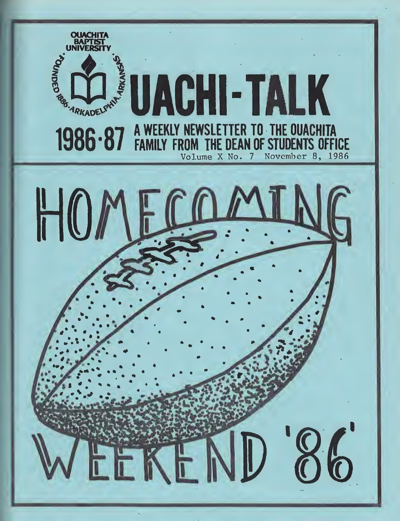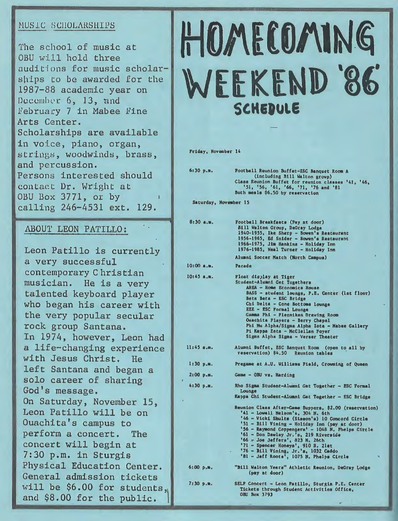### MUSIC SCHOLARSHIPS

The school of music at OBU will hold three auditions for music scholarships to be awarded for the 1987-88 academic year on December 6, 13, and February 7 in Mabee Fine Arts Center. Scholarships are available in voice, piano, organ, strings, woodwinds, brass, and percussion. Persons interested should contact Dr. Wright at OBU Box 3771, or by calling 246-4531 ext. 129.

#### ABOUT LEON PATILLO:

Leon Patillo is currently a very successful contemporary Christian musician. He is a very talented keyboard player who began his career with the very popular secular rock group Santana. In 1974, however, Leon had a life-changing experience with Jesus Christ. He left Santana and began a solo career of sharing God's message. On Saturday, November 15, Leon Patillo will be on Ouachita's campus to perform a concert. The concert will begin at 7:30 p.m. in Sturgis Physical Education Center. General admission tickets will be \$6.00 for students, and \$8.00 for the public.

# **HOMECOMING** WEEKEND '86' **SCHEDULE**

**Friday, November 14** 

| 6:30 p.m.             | Football Reunion Buffet-ESC Banquet Room A<br>(including Bill Walton group)<br>Class Reunion Buffet for reunion classes '41, '46,<br>'51, '56, '61, '66, '71, '76 and '81<br>Both meals \$6.50 by reservation                                                                                                                                                                                                                                              |
|-----------------------|------------------------------------------------------------------------------------------------------------------------------------------------------------------------------------------------------------------------------------------------------------------------------------------------------------------------------------------------------------------------------------------------------------------------------------------------------------|
| Saturday, November 15 |                                                                                                                                                                                                                                                                                                                                                                                                                                                            |
| 8:30 а.в.             | Football Breakfasts (Pay at door)<br>Bill Walton Group, DeGray Lodge<br>1940-1955, Ike Sharp - Bowen's Restaurant<br>1956-1965, Ed Snider - Bowen's Restaurant<br>1966-1975, Jim Hankins - Holiday Inn<br>1976-1985, Neal Turner - Holiday Inn                                                                                                                                                                                                             |
|                       | Alumni Soccer Match (North Campus)                                                                                                                                                                                                                                                                                                                                                                                                                         |
| $10:00$ a.m.          | Parade                                                                                                                                                                                                                                                                                                                                                                                                                                                     |
| $10:45$ a.m.          | Float display at Tiger<br>Student-Alumni Get Togethers<br>AHEA - Home Economics House<br>BASS - student lounge, P.E. Center (lst floor)<br>Beta Beta - ESC Bridge<br>Chi Delta - Cone Bottoms lounge<br><b>EEE - ESC Formal Lounge</b><br>Gamma Phi - Flenniken Drawing Room<br>Ouachita Players - Berry Chapel<br>Phi Mu Alpha/Sigma Alpha Iota - Mabee Gallery<br>Pi Kappa Zeta - McClellan Foyer<br>Sigms Alpha Sigma - Verser Theater                  |
| $11:45$ a.m.          | Alumni Buffet, ESC Banquet Room (open to all by<br>reservation) \$4.50 Reunion tables                                                                                                                                                                                                                                                                                                                                                                      |
| 1:30 p.m.             | Pregame at A.U. Williams Field, Crowning of Queen                                                                                                                                                                                                                                                                                                                                                                                                          |
| $2:00$ p.m.           | Game - OBU vs. Harding                                                                                                                                                                                                                                                                                                                                                                                                                                     |
| j<br>4:30 p.          | Rho Sigma Student-Alumni Get Together - ESC Formal<br>Lounge<br>Kappa Chi Student-Alumni Gat Together - ESC Bridge                                                                                                                                                                                                                                                                                                                                         |
|                       | Reunion Class After-Game Suppers, \$2.00 (reservation)<br>'41 - Lowell Nelson's, 304 N. 6th<br>'46 - Vicki Shults (Sisson's) 10 Concord Circle<br>'51 - Bill Vining - Holiday Inn (pay at door)<br>'56 - Raymond Coppengers' - 1048 N. Phelps Circle<br>'61 - Don Dawley Jr.'s, 219 Riverside<br>'66 = Joe Jeffers', 823 N. 26th<br>'71 - Spencer Honeys', 910 S. 2let<br>'76 - Bill Vining, Jr.'s, 1032 Caddo<br>'81 - Jeff Roots', 1075 N. Phelps Circle |
| 6:00 p.m.             | "Bill Walton Years" Athletic Reunion, DeGray Lodge<br>(pay at door)                                                                                                                                                                                                                                                                                                                                                                                        |
| 7:30 p.m.             | SELF Concert - Leon Patillo, Sturgis P.E. Center<br>Tickets through Student Activities Office,<br>OBU Box 3793                                                                                                                                                                                                                                                                                                                                             |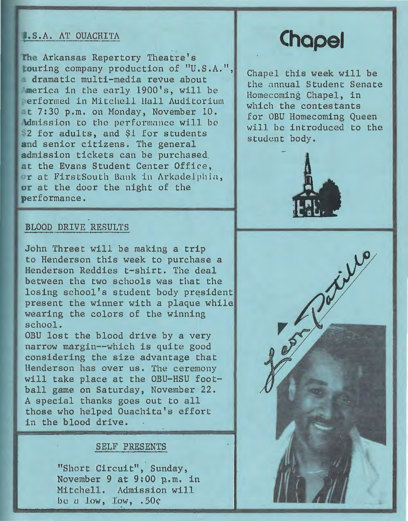### **L.S.A. AT OUACHITA**

he Arkansas Repertory Theatre's touring company production of "U.S.A.", dramatic multi-media revue about merica in the early 1900's, will be erformed in Mitchell Hull Auditorium -t 7:30 p.m. on Monday, November 10. Admission to the performance will be \$2 for adults, and \$1 for students **and** senior citizens. The general admission tickets can be purchased. at the Evans Student Center Offire, or at FirstSouth Bank in Arkade.l phia, **or** at the door the night of the performance.

# **Chapel**

Chapel this week will be the annual Student Senate Homecoming Chapel, in which the contestants for OBU Homecoming Queen will be introduced to the student body.



### BLOOD DRIVE RESULTS

John Threet will be making a trip to Henderson this week to purchase a Henderson Reddies t-shirt. The deal between the two schools was that the losing school's student body president present the winner with a plaque while wearing the colors of the winning school.

OBU lost the blood drive by a very narrow margin--which is quite good considering the size advantage that Henderson has over us. The ceremony will take place at the OBU-HSU foot-<br>ball game on Saturday, November 22. A special thanks goes out to all those who helped Ouachita's effort in the blood drive.

### SELF PRESENTS

"Short Circuit", Sunday, November 9 at 9:00 p.m. in Mitchell. Admission will be a low,  $\text{Low}$ ,  $.50c$